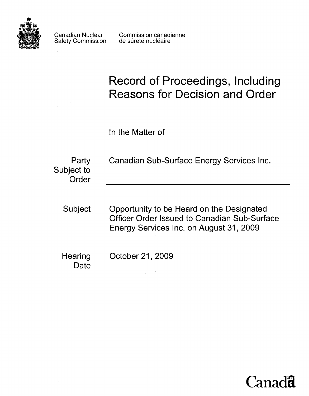

Safety Commission

Canadian Nuclear Commission canadienne<br>
Safety Commission de sûreté nucléaire

# **Record of Proceedings, Including Reasons for Decision and Order**

In the Matter of

| Party<br>Subject to<br>Order | Canadian Sub-Surface Energy Services Inc.                                                                                                   |
|------------------------------|---------------------------------------------------------------------------------------------------------------------------------------------|
| Subject                      | Opportunity to be Heard on the Designated<br><b>Officer Order Issued to Canadian Sub-Surface</b><br>Energy Services Inc. on August 31, 2009 |
| Hearing<br>Date              | October 21, 2009                                                                                                                            |

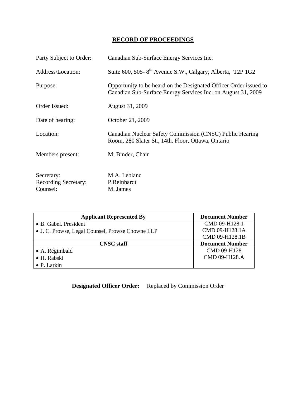# **RECORD OF PROCEEDINGS**

| Party Subject to Order:     | Canadian Sub-Surface Energy Services Inc.                                                                                         |
|-----------------------------|-----------------------------------------------------------------------------------------------------------------------------------|
| Address/Location:           | Suite 600, 505-8 <sup>th</sup> Avenue S.W., Calgary, Alberta, T2P 1G2                                                             |
| Purpose:                    | Opportunity to be heard on the Designated Officer Order issued to<br>Canadian Sub-Surface Energy Services Inc. on August 31, 2009 |
| Order Issued:               | August 31, 2009                                                                                                                   |
| Date of hearing:            | October 21, 2009                                                                                                                  |
| Location:                   | Canadian Nuclear Safety Commission (CNSC) Public Hearing<br>Room, 280 Slater St., 14th. Floor, Ottawa, Ontario                    |
| Members present:            | M. Binder, Chair                                                                                                                  |
| Secretary:                  | M.A. Leblanc                                                                                                                      |
| <b>Recording Secretary:</b> | P.Reinhardt                                                                                                                       |
| Counsel:                    | M. James                                                                                                                          |

| <b>Applicant Represented By</b>                  | <b>Document Number</b> |
|--------------------------------------------------|------------------------|
| • B. Gabel. President                            | CMD 09-H128.1          |
| • J. C. Prowse, Legal Counsel, Prowse Chowne LLP | CMD 09-H128.1A         |
|                                                  | CMD 09-H128.1B         |
| <b>CNSC</b> staff                                | <b>Document Number</b> |
| $\bullet$ A. Régimbald                           | CMD 09-H128            |
| • H. Rabski                                      | CMD 09-H128.A          |
| $\bullet$ P. Larkin                              |                        |

**Designated Officer Order:** Replaced by Commission Order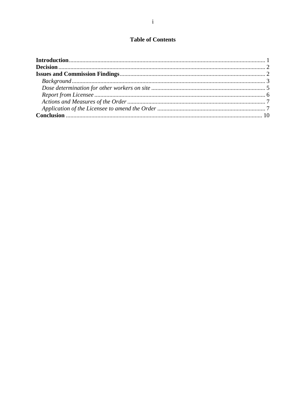# **Table of Contents**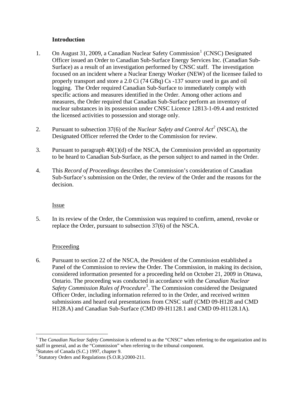## **Introduction**

- <span id="page-3-0"></span>[1](#page-3-1). On August 31, 2009, a Canadian Nuclear Safety Commission<sup>1</sup> (CNSC) Designated Officer issued an Order to Canadian Sub-Surface Energy Services Inc. (Canadian Sub-Surface) as a result of an investigation performed by CNSC staff. The investigation focused on an incident where a Nuclear Energy Worker (NEW) of the licensee failed to properly transport and store a 2.0 Ci (74 GBq) Cs -137 source used in gas and oil logging. The Order required Canadian Sub-Surface to immediately comply with specific actions and measures identified in the Order. Among other actions and measures, the Order required that Canadian Sub-Surface perform an inventory of nuclear substances in its possession under CNSC Licence 12813-1-09.4 and restricted the licensed activities to possession and storage only.
- 2. Pursuant to subsection 37(6) of the *Nuclear Safety and Control Act[2](#page-3-2)* (NSCA), the Designated Officer referred the Order to the Commission for review.
- 3. Pursuant to paragraph 40(1)(d) of the NSCA, the Commission provided an opportunity to be heard to Canadian Sub-Surface, as the person subject to and named in the Order.
- 4. This *Record of Proceedings* describes the Commission's consideration of Canadian Sub-Surface's submission on the Order, the review of the Order and the reasons for the decision.

#### Issue

5. In its review of the Order, the Commission was required to confirm, amend, revoke or replace the Order, pursuant to subsection 37(6) of the NSCA.

# Proceeding

6. Pursuant to section 22 of the NSCA, the President of the Commission established a Panel of the Commission to review the Order. The Commission, in making its decision, considered information presented for a proceeding held on October 21, 2009 in Ottawa, Ontario. The proceeding was conducted in accordance with the *Canadian Nuclear*  Safety Commission Rules of Procedure<sup>[3](#page-3-3)</sup>. The Commission considered the Designated Officer Order, including information referred to in the Order, and received written submissions and heard oral presentations from CNSC staff (CMD 09-H128 and CMD H128.A) and Canadian Sub-Surface (CMD 09-H1128.1 and CMD 09-H1128.1A).

 $\overline{a}$ 

<span id="page-3-1"></span><sup>&</sup>lt;sup>1</sup> The *Canadian Nuclear Safety Commission* is referred to as the "CNSC" when referring to the organization and its staff in general, and as the "Commission" when referring to the tribunal component.

<span id="page-3-2"></span><sup>&</sup>lt;sup>2</sup>Statutes of Canada (S.C.) 1997, chapter 9.

<span id="page-3-3"></span><sup>&</sup>lt;sup>3</sup> Statutory Orders and Regulations (S.O.R.)/2000-211.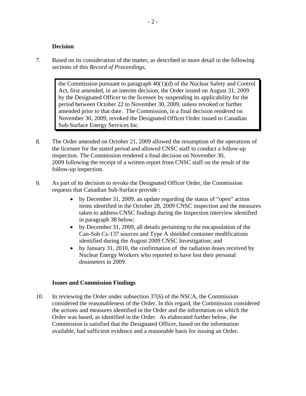#### **Decision**

<span id="page-4-0"></span>7. Based on its consideration of the matter, as described in more detail in the following sections of this *Record of Proceedings*,

> the Commission pursuant to paragraph 40(1)(d) of the Nuclear Safety and Control Act, first amended, in an interim decision, the Order issued on August 31, 2009 by the Designated Officer to the licensee by suspending its applicability for the period between October 22 to November 30, 2009, unless revoked or further amended prior to that date. The Commission, in a final decision rendered on November 30, 2009, revoked the Designated Officer Order issued to Canadian Sub-Surface Energy Services Inc.

- 8. The Order amended on October 21, 2009 allowed the resumption of the operations of the licensee for the stated period and allowed CNSC staff to conduct a follow-up inspection. The Commission rendered a final decision on November 30, 2009 following the receipt of a written report from CNSC staff on the result of the follow-up inspection.
- 9. As part of its decision to revoke the Designated Officer Order, the Commission requests that Canadian Sub-Surface provide :
	- by December 31, 2009, an update regarding the status of "open" action items identified in the October 28, 2009 CNSC inspection and the measures taken to address CNSC findings during the Inspection interview identified in paragraph 38 below;
	- by December 31, 2009, all details pertaining to the encapsulation of the Can-Sub Cs-137 sources and Type A shielded container modifications identified during the August 2009 CNSC Investigation; and
	- by January 31, 2010, the confirmation of the radiation doses received by Nuclear Energy Workers who reported to have lost their personal dosimeters in 2009.

#### **Issues and Commission Findings**

10. In reviewing the Order under subsection 37(6) of the NSCA, the Commission considered the reasonableness of the Order. In this regard, the Commission considered the actions and measures identified in the Order and the information on which the Order was based, as identified in the Order. As elaborated further below, the Commission is satisfied that the Designated Officer, based on the information available, had sufficient evidence and a reasonable basis for issuing an Order.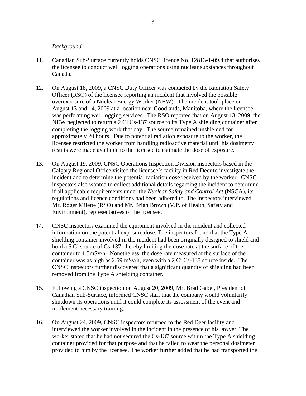#### <span id="page-5-0"></span>*Background*

- 11. Canadian Sub-Surface currently holds CNSC licence No. 12813-1-09.4 that authorises the licensee to conduct well logging operations using nuclear substances throughout Canada.
- 12. On August 18, 2009, a CNSC Duty Officer was contacted by the Radiation Safety Officer (RSO) of the licensee reporting an incident that involved the possible overexposure of a Nuclear Energy Worker (NEW). The incident took place on August 13 and 14, 2009 at a location near Goodlands, Manitoba, where the licensee was performing well logging services. The RSO reported that on August 13, 2009, the NEW neglected to return a 2 Ci Cs-137 source to its Type A shielding container after completing the logging work that day. The source remained unshielded for approximately 20 hours. Due to potential radiation exposure to the worker, the licensee restricted the worker from handling radioactive material until his dosimetry results were made available to the licensee to estimate the dose of exposure.
- 13. On August 19, 2009, CNSC Operations Inspection Division inspectors based in the Calgary Regional Office visited the licensee's facility in Red Deer to investigate the incident and to determine the potential radiation dose received by the worker. CNSC inspectors also wanted to collect additional details regarding the incident to determine if all applicable requirements under the *Nuclear Safety and Control Act* (NSCA), its regulations and licence conditions had been adhered to. The inspectors interviewed Mr. Roger Milette (RSO) and Mr. Brian Brown (V.P. of Health, Safety and Environment), representatives of the licensee.
- 14. CNSC inspectors examined the equipment involved in the incident and collected information on the potential exposure dose. The inspectors found that the Type A shielding container involved in the incident had been originally designed to shield and hold a 5 Ci source of Cs-137, thereby limiting the dose rate at the surface of the container to 1.5mSv/h. Nonetheless, the dose rate measured at the surface of the container was as high as 2.59 mSv/h, even with a 2 Ci Cs-137 source inside. The CNSC inspectors further discovered that a significant quantity of shielding had been removed from the Type A shielding container.
- 15. Following a CNSC inspection on August 20, 2009, Mr. Brad Gabel, President of Canadian Sub-Surface, informed CNSC staff that the company would voluntarily shutdown its operations until it could complete its assessment of the event and implement necessary training.
- 16. On August 24, 2009, CNSC inspectors returned to the Red Deer facility and interviewed the worker involved in the incident in the presence of his lawyer. The worker stated that he had not secured the Cs-137 source within the Type A shielding container provided for that purpose and that he failed to wear the personal dosimeter provided to him by the licensee. The worker further added that he had transported the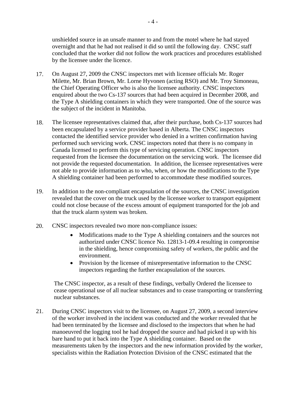<span id="page-6-0"></span>unshielded source in an unsafe manner to and from the motel where he had stayed overnight and that he had not realised it did so until the following day. CNSC staff concluded that the worker did not follow the work practices and procedures established by the licensee under the licence.

- 17. On August 27, 2009 the CNSC inspectors met with licensee officials Mr. Roger Milette, Mr. Brian Brown, Mr. Lorne Hyvonen (acting RSO) and Mr. Troy Simoneau, the Chief Operating Officer who is also the licensee authority. CNSC inspectors enquired about the two Cs-137 sources that had been acquired in December 2008, and the Type A shielding containers in which they were transported. One of the source was the subject of the incident in Manitoba.
- 18. The licensee representatives claimed that, after their purchase, both Cs-137 sources had been encapsulated by a service provider based in Alberta. The CNSC inspectors contacted the identified service provider who denied in a written confirmation having performed such servicing work. CNSC inspectors noted that there is no company in Canada licensed to perform this type of servicing operation. CNSC inspectors requested from the licensee the documentation on the servicing work. The licensee did not provide the requested documentation. In addition, the licensee representatives were not able to provide information as to who, when, or how the modifications to the Type A shielding container had been performed to accommodate these modified sources.
- 19. In addition to the non-compliant encapsulation of the sources, the CNSC investigation revealed that the cover on the truck used by the licensee worker to transport equipment could not close because of the excess amount of equipment transported for the job and that the truck alarm system was broken.
- 20. CNSC inspectors revealed two more non-compliance issues:
	- Modifications made to the Type A shielding containers and the sources not authorized under CNSC licence No. 12813-1-09.4 resulting in compromise in the shielding, hence compromising safety of workers, the public and the environment.
	- Provision by the licensee of misrepresentative information to the CNSC inspectors regarding the further encapsulation of the sources.

The CNSC inspector, as a result of these findings, verbally Ordered the licensee to cease operational use of all nuclear substances and to cease transporting or transferring nuclear substances.

21. During CNSC inspectors visit to the licensee, on August 27, 2009, a second interview of the worker involved in the incident was conducted and the worker revealed that he had been terminated by the licensee and disclosed to the inspectors that when he had manoeuvred the logging tool he had dropped the source and had picked it up with his bare hand to put it back into the Type A shielding container. Based on the measurements taken by the inspectors and the new information provided by the worker, specialists within the Radiation Protection Division of the CNSC estimated that the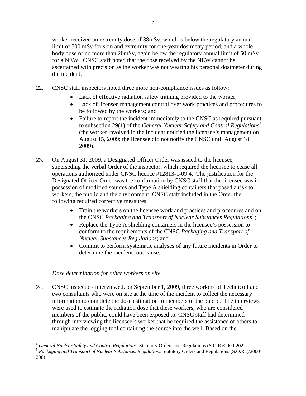worker received an extremity dose of 38mSv, which is below the regulatory annual limit of 500 mSv for skin and extremity for one-year dosimetry period, and a whole body dose of no more than 20mSv, again below the regulatory annual limit of 50 mSv for a NEW. CNSC staff noted that the dose received by the NEW cannot be ascertained with precision as the worker was not wearing his personal dosimeter during the incident.

- 22. CNSC staff inspectors noted three more non-compliance issues as follow:
	- Lack of effective radiation safety training provided to the worker;
	- Lack of licensee management control over work practices and procedures to be followed by the workers; and
	- Failure to report the incident immediately to the CNSC as required pursuant to subsection 29(1) of the *General Nuclear Safety and Control Regulations[4](#page-7-0)* (the worker involved in the incident notified the licensee's management on August 15, 2009; the licensee did not notify the CNSC until August 18, 2009).
- 23. On August 31, 2009, a Designated Officer Order was issued to the licensee, superseding the verbal Order of the inspector, which required the licensee to cease all operations authorized under CNSC licence #12813-1-09.4. The justification for the Designated Officer Order was the confirmation by CNSC staff that the licensee was in possession of modified sources and Type A shielding containers that posed a risk to workers, the public and the environment. CNSC staff included in the Order the following required corrective measures:
	- Train the workers on the licensee work and practices and procedures and on the CNSC *Packaging and Transport of Nuclear Substances Regulations[5](#page-7-1)* ;
	- Replace the Type A shielding containers in the licensee's possession to conform to the requirements of the CNSC *Packaging and Transport of Nuclear Substances Regulations*; and
	- Commit to perform systematic analyses of any future incidents in Order to determine the incident root cause.

# *Dose determination for other workers on site*

24. CNSC inspectors interviewed, on September 1, 2009, three workers of Technicoil and two consultants who were on site at the time of the incident to collect the necessary information to complete the dose estimation to members of the public. The interviews were used to estimate the radiation dose that these workers, who are considered members of the public, could have been exposed to. CNSC staff had determined through interviewing the licensee's worker that he required the assistance of others to manipulate the logging tool containing the source into the well. Based on the

 $\overline{a}$ 

<span id="page-7-1"></span><span id="page-7-0"></span><sup>&</sup>lt;sup>4</sup> *General Nuclear Safety and Control Regulations, Statutory Orders and Regulations (S.O.R)/2000-202.*<br><sup>5</sup> *Packaging and Transport of Nuclear Substances Regulations Statutory Orders and Regulations (S.O.R..)/2000-*208)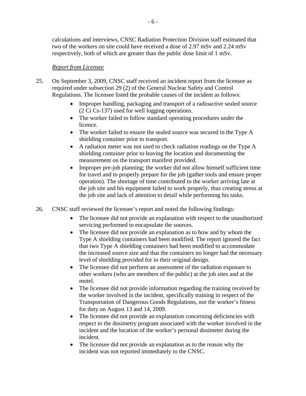<span id="page-8-0"></span>calculations and interviews, CNSC Radiation Protection Division staff estimated that two of the workers on site could have received a dose of 2.97 mSv and 2.24 mSv respectively, both of which are greater than the public dose limit of 1 mSv.

## *Report from Licensee*

- 25. On September 3, 2009, CNSC staff received an incident report from the licensee as required under subsection 29 (2) of the General Nuclear Safety and Control Regulations. The licensee listed the probable causes of the incident as follows:
	- Improper handling, packaging and transport of a radioactive sealed source (2 Ci Cs-137) used for well logging operations.
	- The worker failed to follow standard operating procedures under the licence.
	- The worker failed to ensure the sealed source was secured in the Type A shielding container prior to transport.
	- A radiation meter was not used to check radiation readings on the Type A shielding container prior to leaving the location and documenting the measurement on the transport manifest provided.
	- Improper pre-job planning; the worker did not allow himself sufficient time for travel and to properly prepare for the job (gather tools and ensure proper operation). The shortage of time contributed to the worker arriving late at the job site and his equipment failed to work properly, thus creating stress at the job site and lack of attention to detail while performing his tasks.
- 26. CNSC staff reviewed the licensee's report and noted the following findings:
	- The licensee did not provide an explanation with respect to the unauthorized servicing performed to encapsulate the sources.
	- The licensee did not provide an explanation as to how and by whom the Type A shielding containers had been modified. The report ignored the fact that two Type A shielding containers had been modified to accommodate the increased source size and that the containers no longer had the necessary level of shielding provided for in their original design.
	- The licensee did not perform an assessment of the radiation exposure to other workers (who are members of the public) at the job sites and at the motel.
	- The licensee did not provide information regarding the training received by the worker involved in the incident, specifically training in respect of the Transportation of Dangerous Goods Regulations, nor the worker's fitness for duty on August 13 and 14, 2009.
	- The licensee did not provide an explanation concerning deficiencies with respect to the dosimetry program associated with the worker involved in the incident and the location of the worker's personal dosimeter during the incident.
	- The licensee did not provide an explanation as to the reason why the incident was not reported immediately to the CNSC.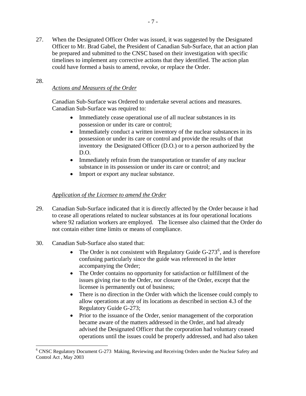<span id="page-9-0"></span>27. When the Designated Officer Order was issued, it was suggested by the Designated Officer to Mr. Brad Gabel, the President of Canadian Sub-Surface, that an action plan be prepared and submitted to the CNSC based on their investigation with specific timelines to implement any corrective actions that they identified. The action plan could have formed a basis to amend, revoke, or replace the Order.

## 28.

 $\overline{a}$ 

# *Actions and Measures of the Order*

Canadian Sub-Surface was Ordered to undertake several actions and measures. Canadian Sub-Surface was required to:

- Immediately cease operational use of all nuclear substances in its possession or under its care or control;
- Immediately conduct a written inventory of the nuclear substances in its possession or under its care or control and provide the results of that inventory the Designated Officer (D.O.) or to a person authorized by the D.O.
- Immediately refrain from the transportation or transfer of any nuclear substance in its possession or under its care or control; and
- Import or export any nuclear substance.

### *Application of the Licensee to amend the Order*

- 29. Canadian Sub-Surface indicated that it is directly affected by the Order because it had to cease all operations related to nuclear substances at its four operational locations where 92 radiation workers are employed. The licensee also claimed that the Order do not contain either time limits or means of compliance.
- 30. Canadian Sub-Surface also stated that:
	- The Order is not consistent with Regulatory Guide  $G-273^6$  $G-273^6$ , and is therefore confusing particularly since the guide was referenced in the letter accompanying the Order;
	- The Order contains no opportunity for satisfaction or fulfillment of the issues giving rise to the Order, nor closure of the Order, except that the licensee is permanently out of business;
	- There is no direction in the Order with which the licensee could comply to allow operations at any of its locations as described in section 4.3 of the Regulatory Guide G-273;
	- Prior to the issuance of the Order, senior management of the corporation became aware of the matters addressed in the Order, and had already advised the Designated Officer that the corporation had voluntary ceased operations until the issues could be properly addressed, and had also taken

<span id="page-9-1"></span><sup>&</sup>lt;sup>6</sup> CNSC Regulatory Document G-273 Making, Reviewing and Receiving Orders under the Nuclear Safety and Control Act , May 2003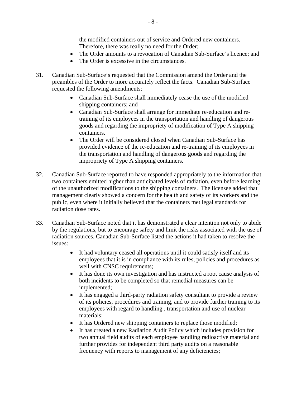the modified containers out of service and Ordered new containers. Therefore, there was really no need for the Order;

- The Order amounts to a revocation of Canadian Sub-Surface's licence; and
- The Order is excessive in the circumstances.
- 31. Canadian Sub-Surface's requested that the Commission amend the Order and the preambles of the Order to more accurately reflect the facts. Canadian Sub-Surface requested the following amendments:
	- Canadian Sub-Surface shall immediately cease the use of the modified shipping containers; and
	- Canadian Sub-Surface shall arrange for immediate re-education and retraining of its employees in the transportation and handling of dangerous goods and regarding the impropriety of modification of Type A shipping containers.
	- The Order will be considered closed when Canadian Sub-Surface has provided evidence of the re-education and re-training of its employees in the transportation and handling of dangerous goods and regarding the impropriety of Type A shipping containers.
- 32. Canadian Sub-Surface reported to have responded appropriately to the information that two containers emitted higher than anticipated levels of radiation, even before learning of the unauthorized modifications to the shipping containers. The licensee added that management clearly showed a concern for the health and safety of its workers and the public, even where it initially believed that the containers met legal standards for radiation dose rates.
- 33. Canadian Sub-Surface noted that it has demonstrated a clear intention not only to abide by the regulations, but to encourage safety and limit the risks associated with the use of radiation sources. Canadian Sub-Surface listed the actions it had taken to resolve the issues:
	- It had voluntary ceased all operations until it could satisfy itself and its employees that it is in compliance with its rules, policies and procedures as well with CNSC requirements;
	- It has done its own investigation and has instructed a root cause analysis of both incidents to be completed so that remedial measures can be implemented;
	- It has engaged a third-party radiation safety consultant to provide a review of its policies, procedures and training, and to provide further training to its employees with regard to handling , transportation and use of nuclear materials;
	- It has Ordered new shipping containers to replace those modified;
	- It has created a new Radiation Audit Policy which includes provision for two annual field audits of each employee handling radioactive material and further provides for independent third party audits on a reasonable frequency with reports to management of any deficiencies;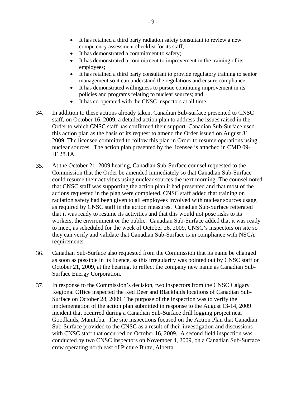- It has retained a third party radiation safety consultant to review a new competency assessment checklist for its staff;
- It has demonstrated a commitment to safety;
- It has demonstrated a commitment to improvement in the training of its employees;
- It has retained a third party consultant to provide regulatory training to senior management so it can understand the regulations and ensure compliance;
- It has demonstrated willingness to pursue continuing improvement in its policies and programs relating to nuclear sources; and
- It has co-operated with the CNSC inspectors at all time.
- 34. In addition to these actions already taken, Canadian Sub-surface presented to CNSC staff, on October 16, 2009, a detailed action plan to address the issues raised in the Order to which CNSC staff has confirmed their support. Canadian Sub-Surface used this action plan as the basis of its request to amend the Order issued on August 31, 2009. The licensee committed to follow this plan in Order to resume operations using nuclear sources. The action plan presented by the licensee is attached in CMD 09- H128.1A.
- 35. At the October 21, 2009 hearing, Canadian Sub-Surface counsel requested to the Commission that the Order be amended immediately so that Canadian Sub-Surface could resume their activities using nuclear sources the next morning. The counsel noted that CNSC staff was supporting the action plan it had presented and that most of the actions requested in the plan were completed. CNSC staff added that training on radiation safety had been given to all employees involved with nuclear sources usage, as required by CNSC staff in the action measures. Canadian Sub-Surface reiterated that it was ready to resume its activities and that this would not pose risks to its workers, the environment or the public. Canadian Sub-Surface added that it was ready to meet, as scheduled for the week of October 26, 2009, CNSC's inspectors on site so they can verify and validate that Canadian Sub-Surface is in compliance with NSCA requirements.
- 36. Canadian Sub-Surface also requested from the Commission that its name be changed as soon as possible in its licence, as this irregularity was pointed out by CNSC staff on October 21, 2009, at the hearing, to reflect the company new name as Canadian Sub-Surface Energy Corporation.
- 37. In response to the Commission's decision, two inspectors from the CNSC Calgary Regional Office inspected the Red Deer and Blackfalds locations of Canadian Sub-Surface on October 28, 2009. The purpose of the inspection was to verify the implementation of the action plan submitted in response to the August 13-14, 2009 incident that occurred during a Canadian Sub-Surface drill logging project near Goodlands, Manitoba. The site inspections focused on the Action Plan that Canadian Sub-Surface provided to the CNSC as a result of their investigation and discussions with CNSC staff that occurred on October 16, 2009. A second field inspection was conducted by two CNSC inspectors on November 4, 2009, on a Canadian Sub-Surface crew operating north east of Picture Butte, Alberta.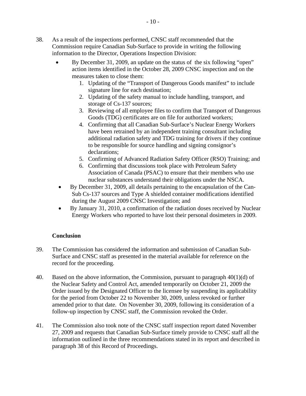- <span id="page-12-0"></span>38. As a result of the inspections performed, CNSC staff recommended that the Commission require Canadian Sub-Surface to provide in writing the following information to the Director, Operations Inspection Division:
	- By December 31, 2009, an update on the status of the six following "open" action items identified in the October 28, 2009 CNSC inspection and on the measures taken to close them:
		- 1. Updating of the "Transport of Dangerous Goods manifest" to include signature line for each destination;
		- 2. Updating of the safety manual to include handling, transport, and storage of Cs-137 sources;
		- 3. Reviewing of all employee files to confirm that Transport of Dangerous Goods (TDG) certificates are on file for authorized workers;
		- 4. Confirming that all Canadian Sub-Surface's Nuclear Energy Workers have been retrained by an independent training consultant including additional radiation safety and TDG training for drivers if they continue to be responsible for source handling and signing consignor's declarations;
		- 5. Confirming of Advanced Radiation Safety Officer (RSO) Training; and
		- 6. Confirming that discussions took place with Petroleum Safety Association of Canada (PSAC) to ensure that their members who use nuclear substances understand their obligations under the NSCA.
	- By December 31, 2009, all details pertaining to the encapsulation of the Can-Sub Cs-137 sources and Type A shielded container modifications identified during the August 2009 CNSC Investigation; and
	- By January 31, 2010, a confirmation of the radiation doses received by Nuclear Energy Workers who reported to have lost their personal dosimeters in 2009.

# **Conclusion**

- 39. The Commission has considered the information and submission of Canadian Sub-Surface and CNSC staff as presented in the material available for reference on the record for the proceeding.
- 40. Based on the above information, the Commission, pursuant to paragraph  $40(1)(d)$  of the Nuclear Safety and Control Act, amended temporarily on October 21, 2009 the Order issued by the Designated Officer to the licensee by suspending its applicability for the period from October 22 to November 30, 2009, unless revoked or further amended prior to that date. On November 30, 2009, following its consideration of a follow-up inspection by CNSC staff, the Commission revoked the Order.
- 41. The Commission also took note of the CNSC staff inspection report dated November 27, 2009 and requests that Canadian Sub-Surface timely provide to CNSC staff all the information outlined in the three recommendations stated in its report and described in paragraph 38 of this Record of Proceedings.